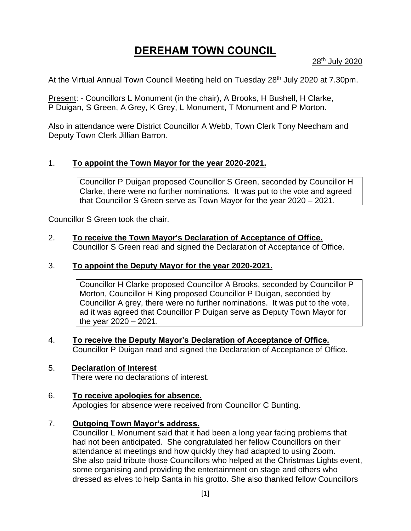# **DEREHAM TOWN COUNCIL**

28th July 2020

At the Virtual Annual Town Council Meeting held on Tuesday 28<sup>th</sup> July 2020 at 7.30pm.

Present: - Councillors L Monument (in the chair), A Brooks, H Bushell, H Clarke, P Duigan, S Green, A Grey, K Grey, L Monument, T Monument and P Morton.

Also in attendance were District Councillor A Webb, Town Clerk Tony Needham and Deputy Town Clerk Jillian Barron.

# 1. **To appoint the Town Mayor for the year 2020-2021.**

Councillor P Duigan proposed Councillor S Green, seconded by Councillor H Clarke, there were no further nominations. It was put to the vote and agreed that Councillor S Green serve as Town Mayor for the year 2020 – 2021.

Councillor S Green took the chair.

#### 2. **To receive the Town Mayor's Declaration of Acceptance of Office.** Councillor S Green read and signed the Declaration of Acceptance of Office.

## 3. **To appoint the Deputy Mayor for the year 2020-2021.**

Councillor H Clarke proposed Councillor A Brooks, seconded by Councillor P Morton, Councillor H King proposed Councillor P Duigan, seconded by Councillor A grey, there were no further nominations. It was put to the vote, ad it was agreed that Councillor P Duigan serve as Deputy Town Mayor for the year 2020 – 2021.

4. **To receive the Deputy Mayor's Declaration of Acceptance of Office.** Councillor P Duigan read and signed the Declaration of Acceptance of Office.

## 5. **Declaration of Interest**

There were no declarations of interest.

## 6. **To receive apologies for absence.**

Apologies for absence were received from Councillor C Bunting.

## 7. **Outgoing Town Mayor's address.**

Councillor L Monument said that it had been a long year facing problems that had not been anticipated. She congratulated her fellow Councillors on their attendance at meetings and how quickly they had adapted to using Zoom. She also paid tribute those Councillors who helped at the Christmas Lights event, some organising and providing the entertainment on stage and others who dressed as elves to help Santa in his grotto. She also thanked fellow Councillors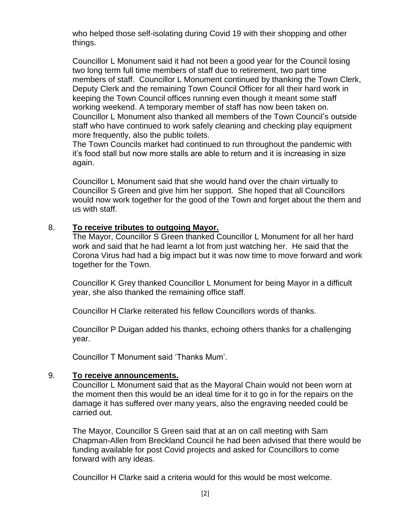who helped those self-isolating during Covid 19 with their shopping and other things.

Councillor L Monument said it had not been a good year for the Council losing two long term full time members of staff due to retirement, two part time members of staff. Councillor L Monument continued by thanking the Town Clerk, Deputy Clerk and the remaining Town Council Officer for all their hard work in keeping the Town Council offices running even though it meant some staff working weekend. A temporary member of staff has now been taken on. Councillor L Monument also thanked all members of the Town Council's outside staff who have continued to work safely cleaning and checking play equipment more frequently, also the public toilets.

The Town Councils market had continued to run throughout the pandemic with it's food stall but now more stalls are able to return and it is increasing in size again.

Councillor L Monument said that she would hand over the chain virtually to Councillor S Green and give him her support. She hoped that all Councillors would now work together for the good of the Town and forget about the them and us with staff.

#### 8. **To receive tributes to outgoing Mayor.**

The Mayor, Councillor S Green thanked Councillor L Monument for all her hard work and said that he had learnt a lot from just watching her. He said that the Corona Virus had had a big impact but it was now time to move forward and work together for the Town.

Councillor K Grey thanked Councillor L Monument for being Mayor in a difficult year, she also thanked the remaining office staff.

Councillor H Clarke reiterated his fellow Councillors words of thanks.

Councillor P Duigan added his thanks, echoing others thanks for a challenging year.

Councillor T Monument said 'Thanks Mum'.

## 9. **To receive announcements.**

Councillor L Monument said that as the Mayoral Chain would not been worn at the moment then this would be an ideal time for it to go in for the repairs on the damage it has suffered over many years, also the engraving needed could be carried out.

The Mayor, Councillor S Green said that at an on call meeting with Sam Chapman-Allen from Breckland Council he had been advised that there would be funding available for post Covid projects and asked for Councillors to come forward with any ideas.

Councillor H Clarke said a criteria would for this would be most welcome.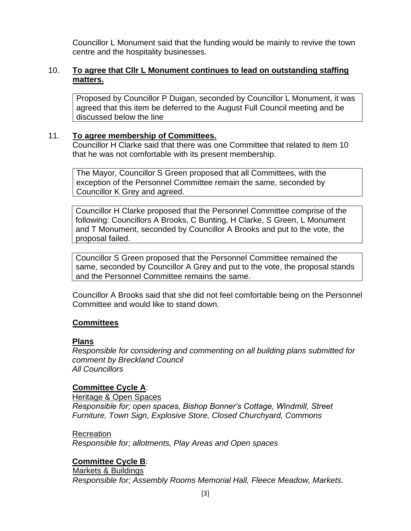Councillor L Monument said that the funding would be mainly to revive the town centre and the hospitality businesses.

# 10. **To agree that Cllr L Monument continues to lead on outstanding staffing matters.**

Proposed by Councillor P Duigan, seconded by Councillor L Monument, it was agreed that this item be deferred to the August Full Council meeting and be discussed below the line

## 11. **To agree membership of Committees.**

Councillor H Clarke said that there was one Committee that related to item 10 that he was not comfortable with its present membership.

The Mayor, Councillor S Green proposed that all Committees, with the exception of the Personnel Committee remain the same, seconded by Councillor K Grey and agreed.

Councillor H Clarke proposed that the Personnel Committee comprise of the following: Councillors A Brooks, C Bunting, H Clarke, S Green, L Monument and T Monument, seconded by Councillor A Brooks and put to the vote, the proposal failed.

Councillor S Green proposed that the Personnel Committee remained the same, seconded by Councillor A Grey and put to the vote, the proposal stands and the Personnel Committee remains the same.

Councillor A Brooks said that she did not feel comfortable being on the Personnel Committee and would like to stand down.

## **Committees**

## **Plans**

*Responsible for considering and commenting on all building plans submitted for comment by Breckland Council All Councillors*

## **Committee Cycle A**:

Heritage & Open Spaces

*Responsible for; open spaces, Bishop Bonner's Cottage, Windmill, Street Furniture, Town Sign, Explosive Store, Closed Churchyard, Commons*

## Recreation

*Responsible for; allotments, Play Areas and Open spaces*

# **Committee Cycle B**:

Markets & Buildings *Responsible for; Assembly Rooms Memorial Hall, Fleece Meadow, Markets.*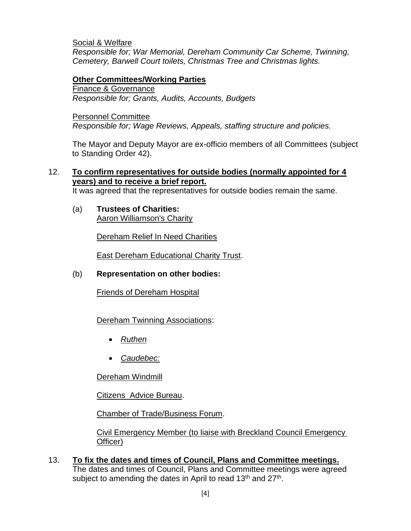Social & Welfare *Responsible for; War Memorial, Dereham Community Car Scheme, Twinning, Cemetery, Barwell Court toilets, Christmas Tree and Christmas lights.*

#### **Other Committees/Working Parties**

Finance & Governance *Responsible for; Grants, Audits, Accounts, Budgets*

Personnel Committee

*Responsible for; Wage Reviews, Appeals, staffing structure and policies.* 

The Mayor and Deputy Mayor are ex-officio members of all Committees (subject to Standing Order 42).

#### 12. **To confirm representatives for outside bodies (normally appointed for 4 years) and to receive a brief report.**

It was agreed that the representatives for outside bodies remain the same.

(a) **Trustees of Charities:** Aaron Williamson's Charity

Dereham Relief In Need Charities

East Dereham Educational Charity Trust.

#### (b) **Representation on other bodies:**

Friends of Dereham Hospital

#### **Dereham Twinning Associations:**

- *Ruthen*
- *Caudebec:*

Dereham Windmill

Citizens Advice Bureau.

Chamber of Trade/Business Forum.

Civil Emergency Member (to liaise with Breckland Council Emergency Officer)

13. **To fix the dates and times of Council, Plans and Committee meetings.** The dates and times of Council, Plans and Committee meetings were agreed subject to amending the dates in April to read 13<sup>th</sup> and 27<sup>th</sup>.